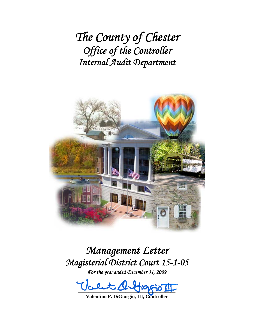*The County of Chester Office of the Controller Internal Audit Department*



# *Management Letter Magisterial District Court 15-1-05*

*For the year ended December 31, 2009* 

 $-22 - 3 - 3 - 3 - 4$ 

**Valentino F. DiGiorgio, III, Controller**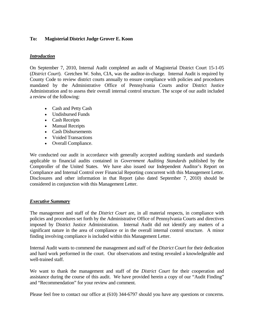## **To: Magisterial District Judge Grover E. Koon**

## *Introduction*

On September 7, 2010, Internal Audit completed an audit of Magisterial District Court 15-1-05 (*District Court*). Gretchen W. Sohn, CIA, was the auditor-in-charge. Internal Audit is required by County Code to review district courts annually to ensure compliance with policies and procedures mandated by the Administrative Office of Pennsylvania Courts and/or District Justice Administration and to assess their overall internal control structure. The scope of our audit included a review of the following:

- Cash and Petty Cash
- Undisbursed Funds
- Cash Receipts
- Manual Receipts
- Cash Disbursements
- Voided Transactions
- Overall Compliance.

We conducted our audit in accordance with generally accepted auditing standards and standards applicable to financial audits contained in *Government Auditing Standards* published by the Comptroller of the United States. We have also issued our Independent Auditor's Report on Compliance and Internal Control over Financial Reporting concurrent with this Management Letter. Disclosures and other information in that Report (also dated September 7, 2010) should be considered in conjunction with this Management Letter.

### *Executive Summary*

The management and staff of the *District Court* are, in all material respects, in compliance with policies and procedures set forth by the Administrative Office of Pennsylvania Courts and directives imposed by District Justice Administration. Internal Audit did not identify any matters of a significant nature in the area of compliance or in the overall internal control structure. A minor finding involving compliance is included within this Management Letter.

Internal Audit wants to commend the management and staff of the *District Court* for their dedication and hard work performed in the court. Our observations and testing revealed a knowledgeable and well-trained staff.

We want to thank the management and staff of the *District Court* for their cooperation and assistance during the course of this audit. We have provided herein a copy of our "Audit Finding" and "Recommendation" for your review and comment.

Please feel free to contact our office at (610) 344-6797 should you have any questions or concerns.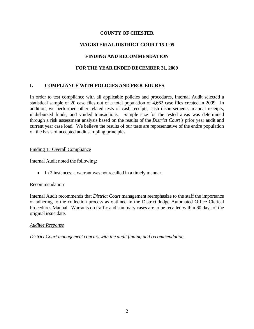# **COUNTY OF CHESTER**

# **MAGISTERIAL DISTRICT COURT 15-1-05**

# **FINDING AND RECOMMENDATION**

# **FOR THE YEAR ENDED DECEMBER 31, 2009**

# **I. COMPLIANCE WITH POLICIES AND PROCEDURES**

In order to test compliance with all applicable policies and procedures, Internal Audit selected a statistical sample of 20 case files out of a total population of 4,662 case files created in 2009. In addition, we performed other related tests of cash receipts, cash disbursements, manual receipts, undisbursed funds, and voided transactions. Sample size for the tested areas was determined through a risk assessment analysis based on the results of the *District Court's* prior year audit and current year case load. We believe the results of our tests are representative of the entire population on the basis of accepted audit sampling principles.

### Finding 1: Overall Compliance

Internal Audit noted the following:

• In 2 instances, a warrant was not recalled in a timely manner.

### Recommendation

Internal Audit recommends that *District Court* management reemphasize to the staff the importance of adhering to the collection process as outlined in the District Judge Automated Office Clerical Procedures Manual. Warrants on traffic and summary cases are to be recalled within 60 days of the original issue date.

### *Auditee Response*

*District Court management concurs with the audit finding and recommendation.*